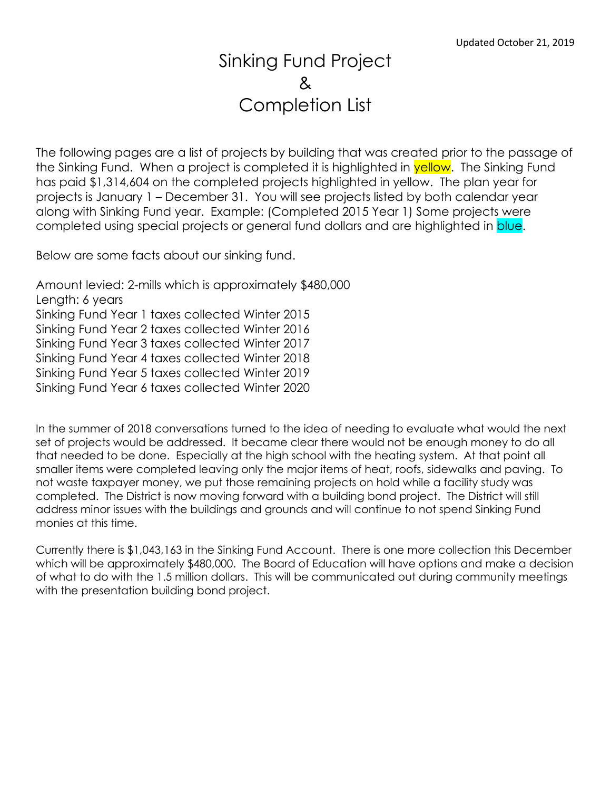## Sinking Fund Project & Completion List

The following pages are a list of projects by building that was created prior to the passage of the Sinking Fund. When a project is completed it is highlighted in **yellow**. The Sinking Fund has paid \$1,314,604 on the completed projects highlighted in yellow. The plan year for projects is January 1 – December 31. You will see projects listed by both calendar year along with Sinking Fund year. Example: (Completed 2015 Year 1) Some projects were completed using special projects or general fund dollars and are highlighted in blue.

Below are some facts about our sinking fund.

Amount levied: 2-mills which is approximately \$480,000 Length: 6 years Sinking Fund Year 1 taxes collected Winter 2015 Sinking Fund Year 2 taxes collected Winter 2016 Sinking Fund Year 3 taxes collected Winter 2017 Sinking Fund Year 4 taxes collected Winter 2018 Sinking Fund Year 5 taxes collected Winter 2019 Sinking Fund Year 6 taxes collected Winter 2020

In the summer of 2018 conversations turned to the idea of needing to evaluate what would the next set of projects would be addressed. It became clear there would not be enough money to do all that needed to be done. Especially at the high school with the heating system. At that point all smaller items were completed leaving only the major items of heat, roofs, sidewalks and paving. To not waste taxpayer money, we put those remaining projects on hold while a facility study was completed. The District is now moving forward with a building bond project. The District will still address minor issues with the buildings and grounds and will continue to not spend Sinking Fund monies at this time.

Currently there is \$1,043,163 in the Sinking Fund Account. There is one more collection this December which will be approximately \$480,000. The Board of Education will have options and make a decision of what to do with the 1.5 million dollars. This will be communicated out during community meetings with the presentation building bond project.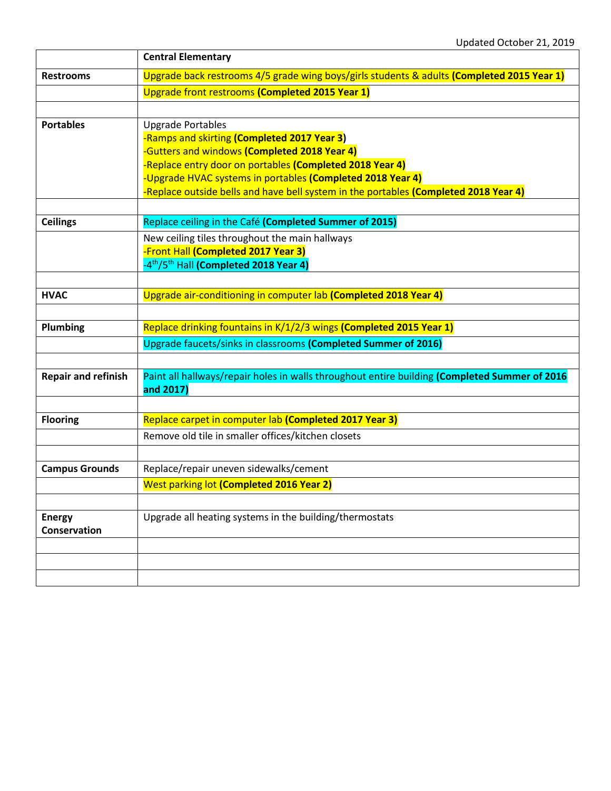|                               | <b>Central Elementary</b>                                                                                                                                                                                                                                                                                                                 |
|-------------------------------|-------------------------------------------------------------------------------------------------------------------------------------------------------------------------------------------------------------------------------------------------------------------------------------------------------------------------------------------|
| <b>Restrooms</b>              | Upgrade back restrooms 4/5 grade wing boys/girls students & adults (Completed 2015 Year 1)                                                                                                                                                                                                                                                |
|                               | Upgrade front restrooms (Completed 2015 Year 1)                                                                                                                                                                                                                                                                                           |
|                               |                                                                                                                                                                                                                                                                                                                                           |
| <b>Portables</b>              | <b>Upgrade Portables</b><br>-Ramps and skirting (Completed 2017 Year 3)<br>-Gutters and windows (Completed 2018 Year 4)<br>-Replace entry door on portables (Completed 2018 Year 4)<br>-Upgrade HVAC systems in portables (Completed 2018 Year 4)<br>-Replace outside bells and have bell system in the portables (Completed 2018 Year 4) |
| <b>Ceilings</b>               | Replace ceiling in the Café (Completed Summer of 2015)                                                                                                                                                                                                                                                                                    |
|                               | New ceiling tiles throughout the main hallways<br>-Front Hall (Completed 2017 Year 3)<br>-4 <sup>th</sup> /5 <sup>th</sup> Hall (Completed 2018 Year 4)                                                                                                                                                                                   |
| <b>HVAC</b>                   |                                                                                                                                                                                                                                                                                                                                           |
|                               | Upgrade air-conditioning in computer lab (Completed 2018 Year 4)                                                                                                                                                                                                                                                                          |
| Plumbing                      | Replace drinking fountains in K/1/2/3 wings (Completed 2015 Year 1)<br>Upgrade faucets/sinks in classrooms (Completed Summer of 2016)                                                                                                                                                                                                     |
| <b>Repair and refinish</b>    | Paint all hallways/repair holes in walls throughout entire building (Completed Summer of 2016<br>and 2017)                                                                                                                                                                                                                                |
|                               |                                                                                                                                                                                                                                                                                                                                           |
| <b>Flooring</b>               | Replace carpet in computer lab (Completed 2017 Year 3)<br>Remove old tile in smaller offices/kitchen closets                                                                                                                                                                                                                              |
|                               |                                                                                                                                                                                                                                                                                                                                           |
| <b>Campus Grounds</b>         | Replace/repair uneven sidewalks/cement                                                                                                                                                                                                                                                                                                    |
|                               | West parking lot (Completed 2016 Year 2)                                                                                                                                                                                                                                                                                                  |
|                               |                                                                                                                                                                                                                                                                                                                                           |
| <b>Energy</b><br>Conservation | Upgrade all heating systems in the building/thermostats                                                                                                                                                                                                                                                                                   |
|                               |                                                                                                                                                                                                                                                                                                                                           |
|                               |                                                                                                                                                                                                                                                                                                                                           |
|                               |                                                                                                                                                                                                                                                                                                                                           |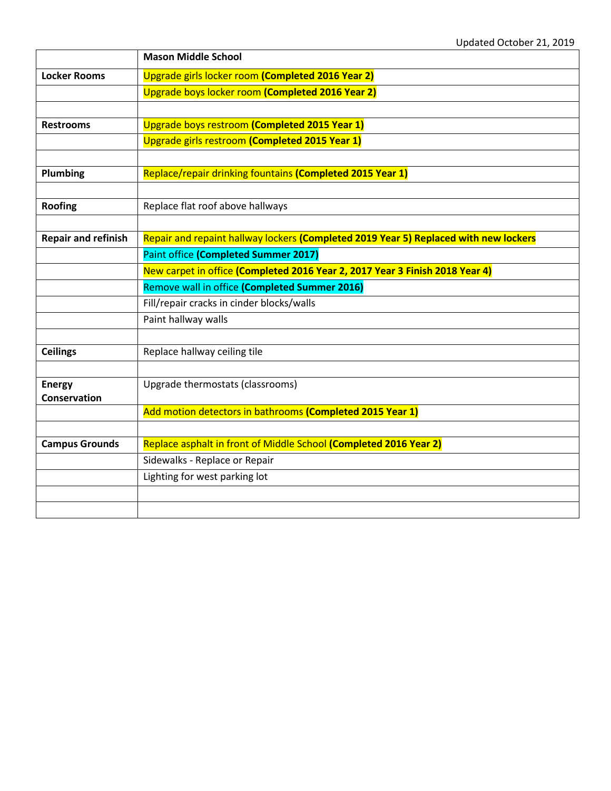|                            | <b>Mason Middle School</b>                                                           |
|----------------------------|--------------------------------------------------------------------------------------|
| <b>Locker Rooms</b>        | Upgrade girls locker room (Completed 2016 Year 2)                                    |
|                            | Upgrade boys locker room (Completed 2016 Year 2)                                     |
|                            |                                                                                      |
| <b>Restrooms</b>           | Upgrade boys restroom (Completed 2015 Year 1)                                        |
|                            | Upgrade girls restroom (Completed 2015 Year 1)                                       |
|                            |                                                                                      |
| Plumbing                   | Replace/repair drinking fountains (Completed 2015 Year 1)                            |
|                            |                                                                                      |
| <b>Roofing</b>             | Replace flat roof above hallways                                                     |
|                            |                                                                                      |
| <b>Repair and refinish</b> | Repair and repaint hallway lockers (Completed 2019 Year 5) Replaced with new lockers |
|                            | Paint office (Completed Summer 2017)                                                 |
|                            | New carpet in office (Completed 2016 Year 2, 2017 Year 3 Finish 2018 Year 4)         |
|                            | Remove wall in office (Completed Summer 2016)                                        |
|                            | Fill/repair cracks in cinder blocks/walls                                            |
|                            | Paint hallway walls                                                                  |
|                            |                                                                                      |
| <b>Ceilings</b>            | Replace hallway ceiling tile                                                         |
|                            |                                                                                      |
| <b>Energy</b>              | Upgrade thermostats (classrooms)                                                     |
| Conservation               | Add motion detectors in bathrooms (Completed 2015 Year 1)                            |
|                            |                                                                                      |
| <b>Campus Grounds</b>      | Replace asphalt in front of Middle School (Completed 2016 Year 2)                    |
|                            | Sidewalks - Replace or Repair                                                        |
|                            | Lighting for west parking lot                                                        |
|                            |                                                                                      |
|                            |                                                                                      |
|                            |                                                                                      |